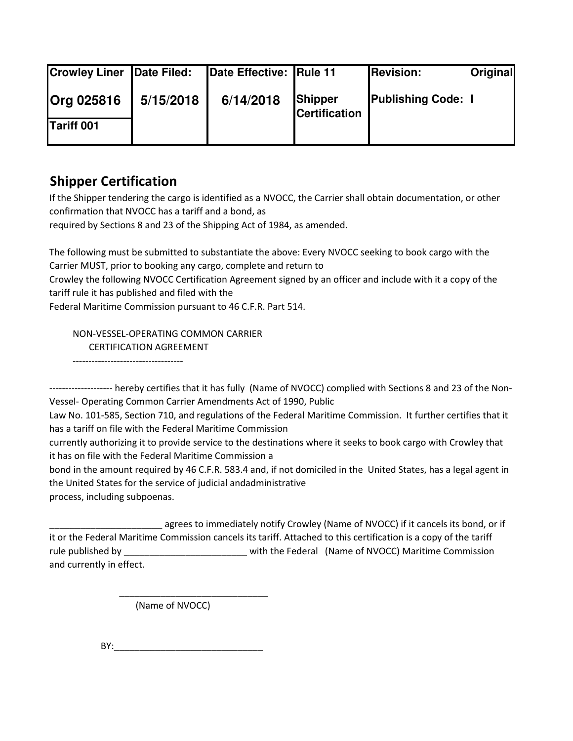| <b>Crowley Liner Date Filed:</b> |           | Date Effective: Rule 11 |                                 | <b>Revision:</b>          | Original |
|----------------------------------|-----------|-------------------------|---------------------------------|---------------------------|----------|
| <b>Org 025816</b><br>Tariff 001  | 5/15/2018 | 6/14/2018               | Shipper<br><b>Certification</b> | <b>Publishing Code: I</b> |          |

## **Shipper Certification**

If the Shipper tendering the cargo is identified as a NVOCC, the Carrier shall obtain documentation, or other confirmation that NVOCC has a tariff and a bond, as

required by Sections 8 and 23 of the Shipping Act of 1984, as amended.

The following must be submitted to substantiate the above: Every NVOCC seeking to book cargo with the Carrier MUST, prior to booking any cargo, complete and return to

Crowley the following NVOCC Certification Agreement signed by an officer and include with it a copy of the tariff rule it has published and filed with the

Federal Maritime Commission pursuant to 46 C.F.R. Part 514.

 NON-VESSEL-OPERATING COMMON CARRIER CERTIFICATION AGREEMENT -----------------------------------

-------------------- hereby certifies that it has fully (Name of NVOCC) complied with Sections 8 and 23 of the Non-

Vessel- Operating Common Carrier Amendments Act of 1990, Public Law No. 101-585, Section 710, and regulations of the Federal Maritime Commission. It further certifies that it has a tariff on file with the Federal Maritime Commission

currently authorizing it to provide service to the destinations where it seeks to book cargo with Crowley that it has on file with the Federal Maritime Commission a

bond in the amount required by 46 C.F.R. 583.4 and, if not domiciled in the United States, has a legal agent in the United States for the service of judicial andadministrative

process, including subpoenas.

agrees to immediately notify Crowley (Name of NVOCC) if it cancels its bond, or if it or the Federal Maritime Commission cancels its tariff. Attached to this certification is a copy of the tariff rule published by \_\_\_\_\_\_\_\_\_\_\_\_\_\_\_\_\_\_\_\_\_\_\_\_ with the Federal (Name of NVOCC) Maritime Commission and currently in effect.

(Name of NVOCC)

 $\overline{\phantom{a}}$  ,  $\overline{\phantom{a}}$  ,  $\overline{\phantom{a}}$  ,  $\overline{\phantom{a}}$  ,  $\overline{\phantom{a}}$  ,  $\overline{\phantom{a}}$  ,  $\overline{\phantom{a}}$  ,  $\overline{\phantom{a}}$  ,  $\overline{\phantom{a}}$  ,  $\overline{\phantom{a}}$  ,  $\overline{\phantom{a}}$  ,  $\overline{\phantom{a}}$  ,  $\overline{\phantom{a}}$  ,  $\overline{\phantom{a}}$  ,  $\overline{\phantom{a}}$  ,  $\overline{\phantom{a}}$ 

BY:\_\_\_\_\_\_\_\_\_\_\_\_\_\_\_\_\_\_\_\_\_\_\_\_\_\_\_\_\_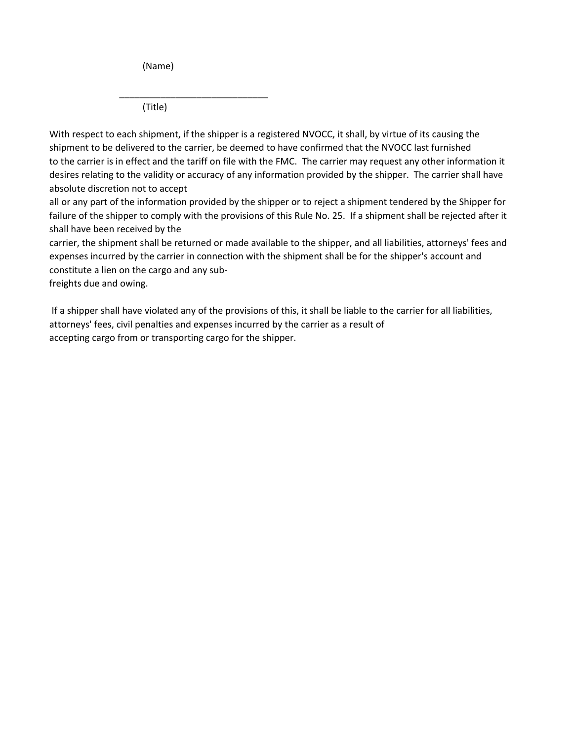(Name)

 $\frac{1}{2}$  ,  $\frac{1}{2}$  ,  $\frac{1}{2}$  ,  $\frac{1}{2}$  ,  $\frac{1}{2}$  ,  $\frac{1}{2}$  ,  $\frac{1}{2}$  ,  $\frac{1}{2}$  ,  $\frac{1}{2}$  ,  $\frac{1}{2}$  ,  $\frac{1}{2}$  ,  $\frac{1}{2}$  ,  $\frac{1}{2}$  ,  $\frac{1}{2}$  ,  $\frac{1}{2}$  ,  $\frac{1}{2}$  ,  $\frac{1}{2}$  ,  $\frac{1}{2}$  ,  $\frac{1$ (Title)

With respect to each shipment, if the shipper is a registered NVOCC, it shall, by virtue of its causing the shipment to be delivered to the carrier, be deemed to have confirmed that the NVOCC last furnished to the carrier is in effect and the tariff on file with the FMC. The carrier may request any other information it desires relating to the validity or accuracy of any information provided by the shipper. The carrier shall have absolute discretion not to accept

all or any part of the information provided by the shipper or to reject a shipment tendered by the Shipper for failure of the shipper to comply with the provisions of this Rule No. 25. If a shipment shall be rejected after it shall have been received by the

carrier, the shipment shall be returned or made available to the shipper, and all liabilities, attorneys' fees and expenses incurred by the carrier in connection with the shipment shall be for the shipper's account and constitute a lien on the cargo and any sub-

freights due and owing.

 If a shipper shall have violated any of the provisions of this, it shall be liable to the carrier for all liabilities, attorneys' fees, civil penalties and expenses incurred by the carrier as a result of accepting cargo from or transporting cargo for the shipper.